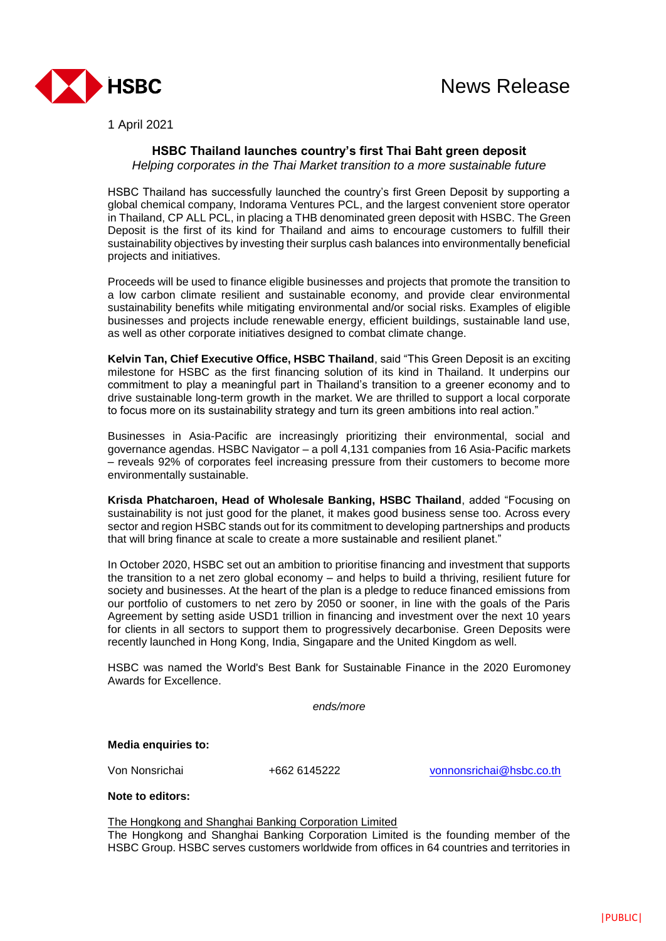

1 April 2021

## **HSBC Thailand launches country's first Thai Baht green deposit**

*Helping corporates in the Thai Market transition to a more sustainable future*

HSBC Thailand has successfully launched the country's first Green Deposit by supporting a global chemical company, Indorama Ventures PCL, and the largest convenient store operator in Thailand, CP ALL PCL, in placing a THB denominated green deposit with HSBC. The Green Deposit is the first of its kind for Thailand and aims to encourage customers to fulfill their sustainability objectives by investing their surplus cash balances into environmentally beneficial projects and initiatives.

Proceeds will be used to finance eligible businesses and projects that promote the transition to a low carbon climate resilient and sustainable economy, and provide clear environmental sustainability benefits while mitigating environmental and/or social risks. Examples of eligible businesses and projects include renewable energy, efficient buildings, sustainable land use, as well as other corporate initiatives designed to combat climate change.

**Kelvin Tan, Chief Executive Office, HSBC Thailand**, said "This Green Deposit is an exciting milestone for HSBC as the first financing solution of its kind in Thailand. It underpins our commitment to play a meaningful part in Thailand's transition to a greener economy and to drive sustainable long-term growth in the market. We are thrilled to support a local corporate to focus more on its sustainability strategy and turn its green ambitions into real action."

Businesses in Asia-Pacific are increasingly prioritizing their environmental, social and governance agendas. HSBC Navigator – a poll 4,131 companies from 16 Asia-Pacific markets – reveals 92% of corporates feel increasing pressure from their customers to become more environmentally sustainable.

**Krisda Phatcharoen, Head of Wholesale Banking, HSBC Thailand**, added "Focusing on sustainability is not just good for the planet, it makes good business sense too. Across every sector and region HSBC stands out for its commitment to developing partnerships and products that will bring finance at scale to create a more sustainable and resilient planet."

In October 2020, HSBC set out an ambition to prioritise financing and investment that supports the transition to a net zero global economy – and helps to build a thriving, resilient future for society and businesses. At the heart of the plan is a pledge to reduce financed emissions from our portfolio of customers to net zero by 2050 or sooner, in line with the goals of the Paris Agreement by setting aside USD1 trillion in financing and investment over the next 10 years for clients in all sectors to support them to progressively decarbonise. Green Deposits were recently launched in Hong Kong, India, Singapare and the United Kingdom as well.

HSBC was named the World's Best Bank for Sustainable Finance in the 2020 Euromoney Awards for Excellence.

*ends/more*

**Media enquiries to:** 

Von Nonsrichai +662 6145222 [vonnonsrichai@hsbc.co.th](mailto:vonnonsrichai@hsbc.co.th)

**Note to editors:**

The Hongkong and Shanghai Banking Corporation Limited

The Hongkong and Shanghai Banking Corporation Limited is the founding member of the HSBC Group. HSBC serves customers worldwide from offices in 64 countries and territories in